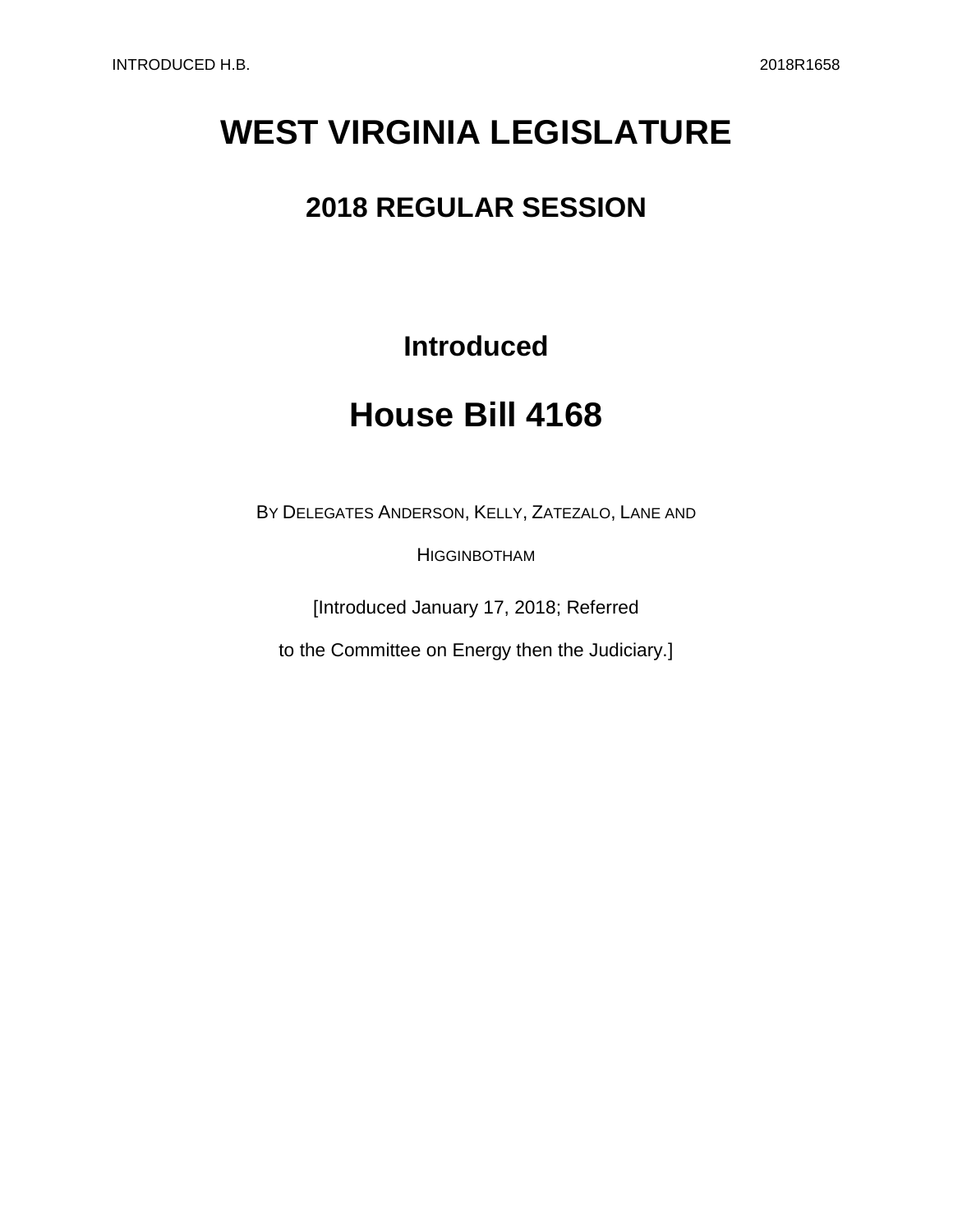# **WEST VIRGINIA LEGISLATURE**

## **2018 REGULAR SESSION**

## **Introduced**

## **House Bill 4168**

BY DELEGATES ANDERSON, KELLY, ZATEZALO, LANE AND

**HIGGINBOTHAM** 

[Introduced January 17, 2018; Referred

to the Committee on Energy then the Judiciary.]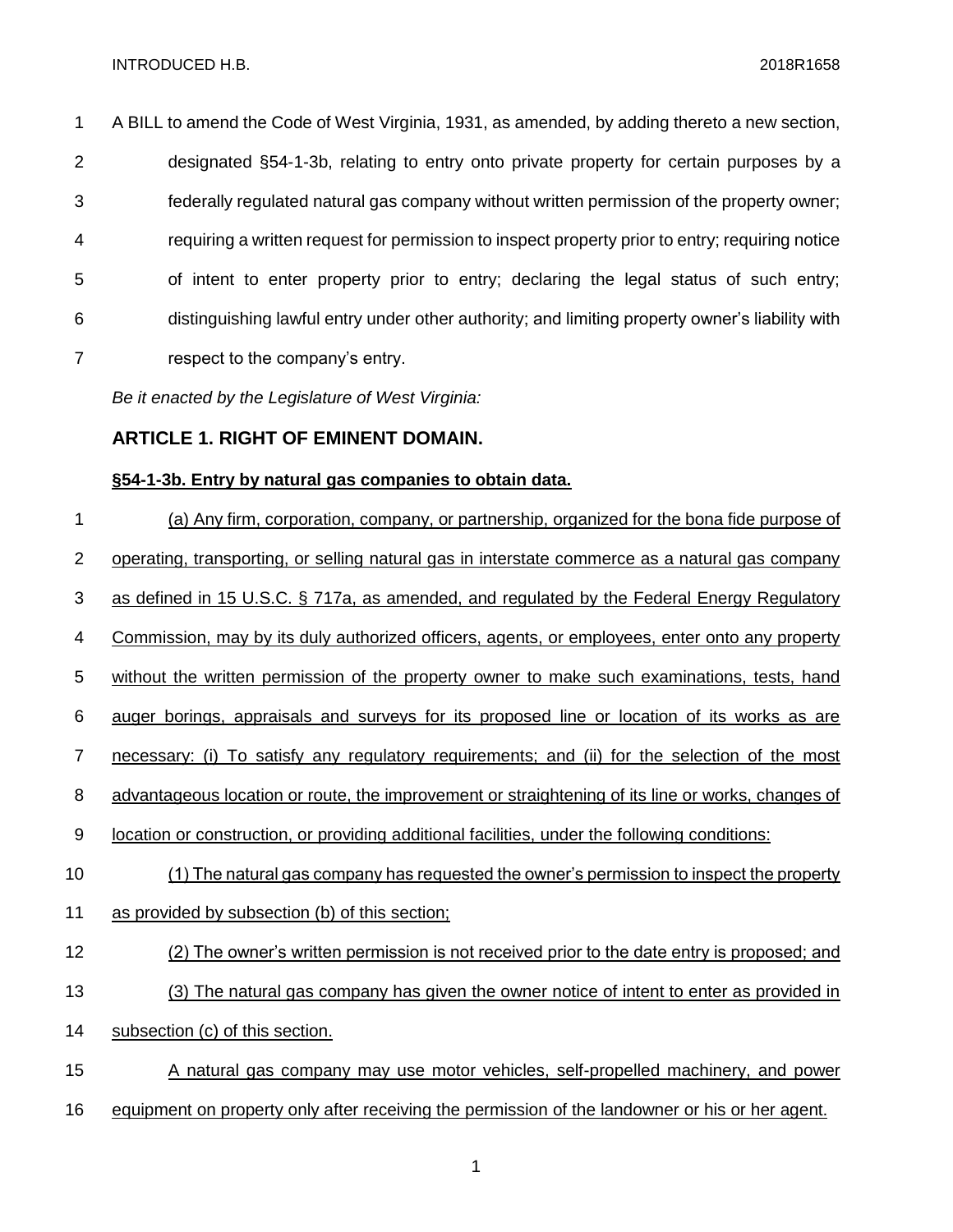A BILL to amend the Code of West Virginia, 1931, as amended, by adding thereto a new section, designated §54-1-3b, relating to entry onto private property for certain purposes by a federally regulated natural gas company without written permission of the property owner; requiring a written request for permission to inspect property prior to entry; requiring notice of intent to enter property prior to entry; declaring the legal status of such entry; distinguishing lawful entry under other authority; and limiting property owner's liability with respect to the company's entry.

*Be it enacted by the Legislature of West Virginia:*

#### **ARTICLE 1. RIGHT OF EMINENT DOMAIN.**

#### **§54-1-3b. Entry by natural gas companies to obtain data.**

 (a) Any firm, corporation, company, or partnership, organized for the bona fide purpose of operating, transporting, or selling natural gas in interstate commerce as a natural gas company as defined in 15 U.S.C. § 717a, as amended, and regulated by the Federal Energy Regulatory Commission, may by its duly authorized officers, agents, or employees, enter onto any property without the written permission of the property owner to make such examinations, tests, hand auger borings, appraisals and surveys for its proposed line or location of its works as are necessary: (i) To satisfy any regulatory requirements; and (ii) for the selection of the most 8 advantageous location or route, the improvement or straightening of its line or works, changes of location or construction, or providing additional facilities, under the following conditions: (1) The natural gas company has requested the owner's permission to inspect the property as provided by subsection (b) of this section; (2) The owner's written permission is not received prior to the date entry is proposed; and (3) The natural gas company has given the owner notice of intent to enter as provided in subsection (c) of this section. A natural gas company may use motor vehicles, self-propelled machinery, and power equipment on property only after receiving the permission of the landowner or his or her agent.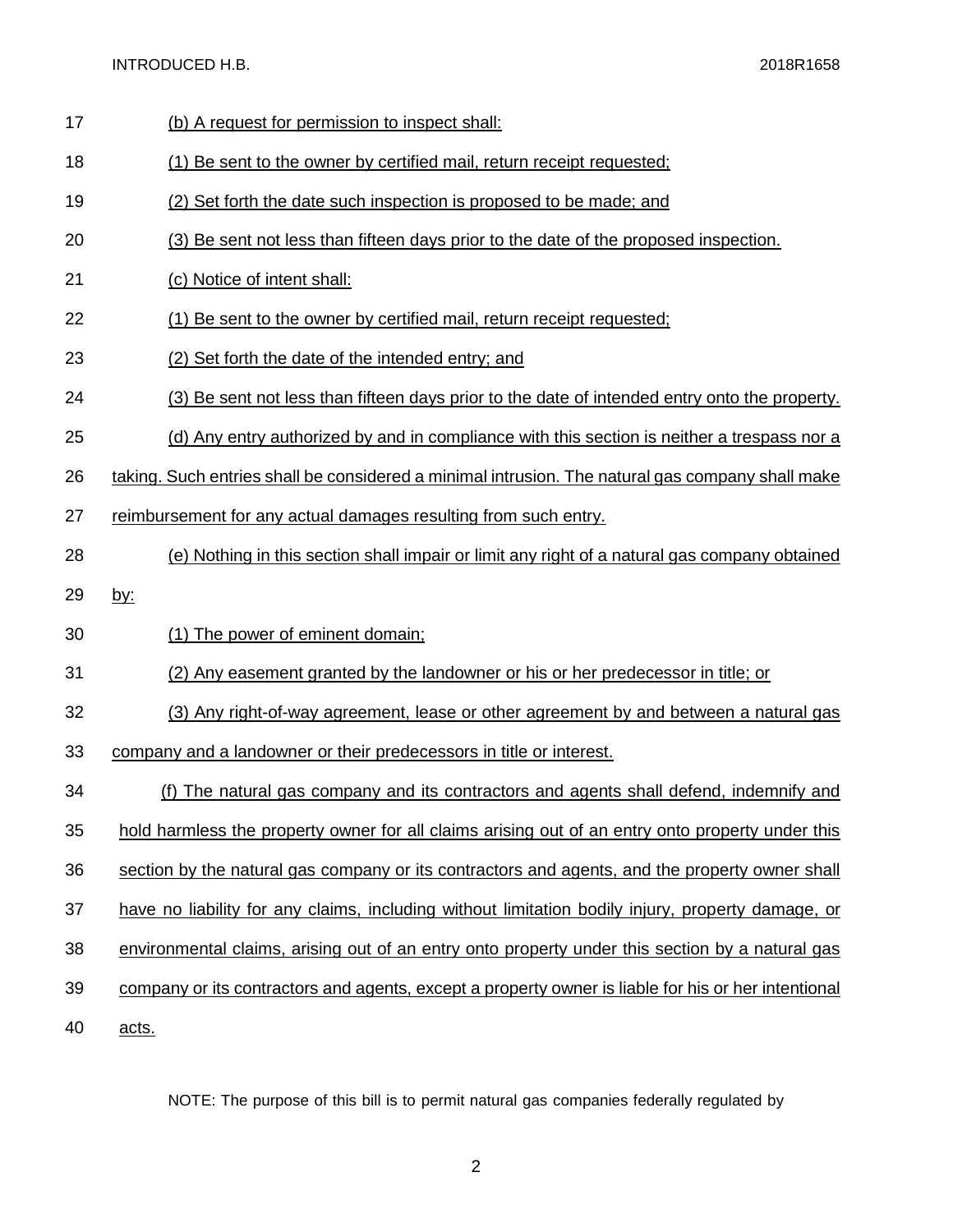INTRODUCED H.B. 2018R1658

- 17 (b) A request for permission to inspect shall:
- (1) Be sent to the owner by certified mail, return receipt requested;
- (2) Set forth the date such inspection is proposed to be made; and
- (3) Be sent not less than fifteen days prior to the date of the proposed inspection.
- (c) Notice of intent shall:
- (1) Be sent to the owner by certified mail, return receipt requested;
- (2) Set forth the date of the intended entry; and
- (3) Be sent not less than fifteen days prior to the date of intended entry onto the property.
- (d) Any entry authorized by and in compliance with this section is neither a trespass nor a
- taking. Such entries shall be considered a minimal intrusion. The natural gas company shall make
- reimbursement for any actual damages resulting from such entry.
- (e) Nothing in this section shall impair or limit any right of a natural gas company obtained
- by:
- (1) The power of eminent domain;
- (2) Any easement granted by the landowner or his or her predecessor in title; or
- (3) Any right-of-way agreement, lease or other agreement by and between a natural gas
- company and a landowner or their predecessors in title or interest.
- (f) The natural gas company and its contractors and agents shall defend, indemnify and
- hold harmless the property owner for all claims arising out of an entry onto property under this
- section by the natural gas company or its contractors and agents, and the property owner shall
- have no liability for any claims, including without limitation bodily injury, property damage, or
- environmental claims, arising out of an entry onto property under this section by a natural gas
- company or its contractors and agents, except a property owner is liable for his or her intentional

acts.

NOTE: The purpose of this bill is to permit natural gas companies federally regulated by